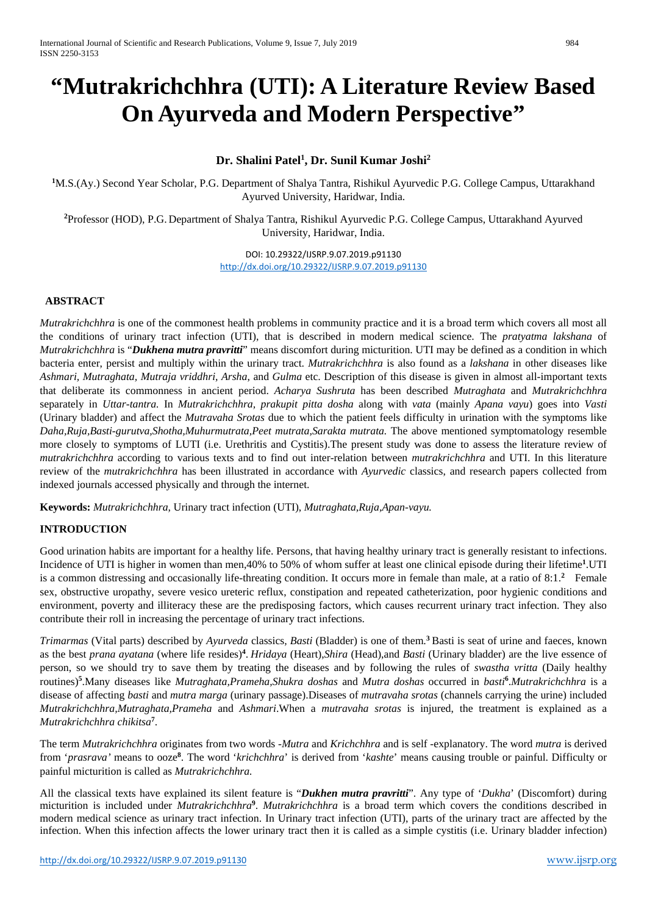# **"Mutrakrichchhra (UTI): A Literature Review Based On Ayurveda and Modern Perspective"**

## **Dr. Shalini Patel1 , Dr. Sunil Kumar Joshi2**

**1** M.S.(Ay.) Second Year Scholar, P.G. Department of Shalya Tantra, Rishikul Ayurvedic P.G. College Campus, Uttarakhand Ayurved University, Haridwar, India.

**2** Professor (HOD), P.G. Department of Shalya Tantra, Rishikul Ayurvedic P.G. College Campus, Uttarakhand Ayurved University, Haridwar, India.

> DOI: 10.29322/IJSRP.9.07.2019.p91130 <http://dx.doi.org/10.29322/IJSRP.9.07.2019.p91130>

## **ABSTRACT**

*Mutrakrichchhra* is one of the commonest health problems in community practice and it is a broad term which covers all most all the conditions of urinary tract infection (UTI), that is described in modern medical science. The *pratyatma lakshana* of *Mutrakrichchhra* is "*Dukhena mutra pravritti*" means discomfort during micturition. UTI may be defined as a condition in which bacteria enter, persist and multiply within the urinary tract. *Mutrakrichchhra* is also found as a *lakshana* in other diseases like *Ashmari, Mutraghata, Mutraja vriddhri, Arsha*, and *Gulma* etc. Description of this disease is given in almost all-important texts that deliberate its commonness in ancient period. *Acharya Sushruta* has been described *Mutraghata* and *Mutrakrichchhra* separately in *Uttar-tantra.* In *Mutrakrichchhra, prakupit pitta dosha* along with *vata* (mainly *Apana vayu*) goes into *Vasti*  (Urinary bladder) and affect the *Mutravaha Srotas* due to which the patient feels difficulty in urination with the symptoms like *Daha,Ruja,Basti-gurutva,Shotha,Muhurmutrata,Peet mutrata,Sarakta mutrata.* The above mentioned symptomatology resemble more closely to symptoms of LUTI (i.e. Urethritis and Cystitis).The present study was done to assess the literature review of *mutrakrichchhra* according to various texts and to find out inter-relation between *mutrakrichchhra* and UTI. In this literature review of the *mutrakrichchhra* has been illustrated in accordance with *Ayurvedic* classics, and research papers collected from indexed journals accessed physically and through the internet.

**Keywords:** *Mutrakrichchhra,* Urinary tract infection (UTI), *Mutraghata,Ruja,Apan-vayu.*

#### **INTRODUCTION**

Good urination habits are important for a healthy life. Persons, that having healthy urinary tract is generally resistant to infections. Incidence of UTI is higher in women than men,40% to 50% of whom suffer at least one clinical episode during their lifetime**<sup>1</sup>** .UTI is a common distressing and occasionally life-threating condition. It occurs more in female than male, at a ratio of 8:1.<sup>2</sup> Female sex, obstructive uropathy, severe vesico ureteric reflux, constipation and repeated catheterization, poor hygienic conditions and environment, poverty and illiteracy these are the predisposing factors, which causes recurrent urinary tract infection. They also contribute their roll in increasing the percentage of urinary tract infections.

*Trimarmas* (Vital parts) described by *Ayurveda* classics*, Basti* (Bladder) is one of them.**<sup>3</sup>**Basti is seat of urine and faeces, known as the best *prana ayatana* (where life resides)**<sup>4</sup>** . *Hridaya* (Heart),*Shira* (Head),and *Basti* (Urinary bladder) are the live essence of person, so we should try to save them by treating the diseases and by following the rules of *swastha vritta* (Daily healthy routines)**<sup>5</sup>** .Many diseases like *Mutraghata,Prameha,Shukra doshas* and *Mutra doshas* occurred in *basti***<sup>6</sup>** .*Mutrakrichchhra* is a disease of affecting *basti* and *mutra marga* (urinary passage).Diseases of *mutravaha srotas* (channels carrying the urine) included *Mutrakrichchhra,Mutraghata,Prameha* and *Ashmari*.When a *mutravaha srotas* is injured, the treatment is explained as a *Mutrakrichchhra chikitsa***<sup>7</sup>** .

The term *Mutrakrichchhra* originates from two words -*Mutra* and *Krichchhra* and is self -explanatory. The word *mutra* is derived from '*prasrava'* means to ooze**<sup>8</sup>** . The word '*krichchhra*' is derived from '*kashte*' means causing trouble or painful. Difficulty or painful micturition is called as *Mutrakrichchhra.*

All the classical texts have explained its silent feature is "*Dukhen mutra pravritti*". Any type of '*Dukha*' (Discomfort) during micturition is included under *Mutrakrichchhra***<sup>9</sup>** . *Mutrakrichchhra* is a broad term which covers the conditions described in modern medical science as urinary tract infection. In Urinary tract infection (UTI), parts of the urinary tract are affected by the infection. When this infection affects the lower urinary tract then it is called as a simple cystitis (i.e. Urinary bladder infection)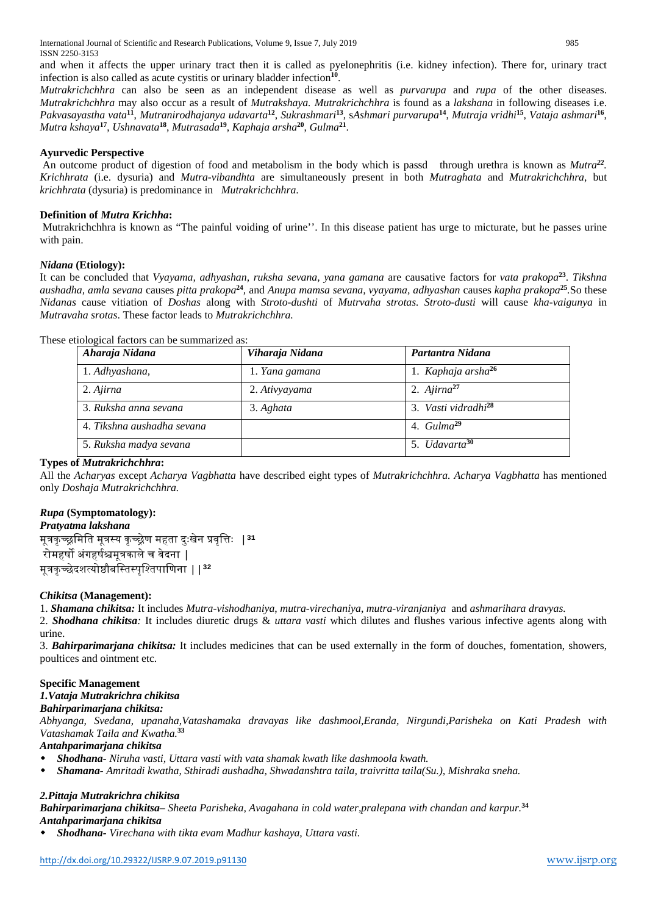and when it affects the upper urinary tract then it is called as pyelonephritis (i.e. kidney infection). There for, urinary tract infection is also called as acute cystitis or urinary bladder infection**<sup>10</sup>**.

*Mutrakrichchhra* can also be seen as an independent disease as well as *purvarupa* and *rupa* of the other diseases. *Mutrakrichchhra* may also occur as a result of *Mutrakshaya. Mutrakrichchhra* is found as a *lakshana* in following diseases i.e. *Pakvasayastha vata***<sup>11</sup>**, *Mutranirodhajanya udavarta***<sup>12</sup>**, *Sukrashmari***<sup>13</sup>**, s*Ashmari purvarupa***<sup>14</sup>**, *Mutraja vridhi***<sup>15</sup>**, *Vataja ashmari***<sup>16</sup>**, *Mutra kshaya***<sup>17</sup>**, *Ushnavata***<sup>18</sup>**, *Mutrasada***<sup>19</sup>**, *Kaphaja arsha***<sup>20</sup>**, *Gulma***<sup>21</sup>**.

#### **Ayurvedic Perspective**

An outcome product of digestion of food and metabolism in the body which is passd through urethra is known as *Mutra<sup>22</sup>. Krichhrata* (i.e. dysuria) and *Mutra-vibandhta* are simultaneously present in both *Mutraghata* and *Mutrakrichchhra*, but *krichhrata* (dysuria) is predominance in *Mutrakrichchhra*.

#### **Definition of** *Mutra Krichha***:**

Mutrakrichchhra is known as "The painful voiding of urine''. In this disease patient has urge to micturate, but he passes urine with pain.

## *Nidana* **(Etiology):**

It can be concluded that *Vyayama, adhyashan, ruksha sevana, yana gamana* are causative factors for *vata prakopa***<sup>23</sup>**. *Tikshna aushadha, amla sevana* causes *pitta prakopa***<sup>24</sup>***,* and *Anupa mamsa sevana, vyayama, adhyashan* causes *kapha prakopa***<sup>25</sup>***.*So these *Nidanas* cause vitiation of *Doshas* along with *Stroto-dushti* of *Mutrvaha strotas. Stroto-dusti* will cause *kha-vaigunya* in *Mutravaha srotas*. These factor leads to *Mutrakrichchhra.*

|  |  | These etiological factors can be summarized as: |  |
|--|--|-------------------------------------------------|--|
|  |  |                                                 |  |

| Aharaja Nidana             | Viharaja Nidana | Partantra Nidana                |
|----------------------------|-----------------|---------------------------------|
| 1. Adhyashana,             | 1. Yana gamana  | 1. Kaphaja arsha <sup>26</sup>  |
| 2. Ajirna                  | 2. Ativyayama   | 2. $Ajima^{27}$                 |
| 3. Ruksha anna sevana      | 3. Aghata       | 3. Vasti vidradhi <sup>28</sup> |
| 4. Tikshna aushadha sevana |                 | 4. $Gulma^{29}$                 |
| 5. Ruksha madya sevana     |                 | 5. Udavarta <sup>30</sup>       |

## **Types of** *Mutrakrichchhra***:**

All the *Acharyas* except *Acharya Vagbhatta* have described eight types of *Mutrakrichchhra. Acharya Vagbhatta* has mentioned only *Doshaja Mutrakrichchhra.*

## *Rupa* **(Symptomatology):**

*Pratyatma lakshana*

मू�कृच्�िमित मू�स्य कृच्�ेण महता दुःखेन �वृि�ः |**<sup>31</sup>** रोमहर्षो अंगहर्षश्चमत्रकाले च वेदना  $\,$ मू�कृच्छेदशत्यो�ौबिस्तस्पृिश्तपािणना ||**<sup>32</sup>**

#### *Chikitsa* **(Management):**

1. *Shamana chikitsa:* It includes *Mutra-vishodhaniya*, *mutra-virechaniya*, *mutra-viranjaniya* and *ashmarihara dravyas.*

2. *Shodhana chikitsa:* It includes diuretic drugs & *uttara vasti* which dilutes and flushes various infective agents along with urine.

3. *Bahirparimarjana chikitsa:* It includes medicines that can be used externally in the form of douches, fomentation, showers, poultices and ointment etc.

## **Specific Management**

## *1.Vataja Mutrakrichra chikitsa*

## *Bahirparimarjana chikitsa:*

*Abhyanga, Svedana, upanaha,Vatashamaka dravayas like dashmool,Eranda, Nirgundi,Parisheka on Kati Pradesh with Vatashamak Taila and Kwatha.***<sup>33</sup>**

## *Antahparimarjana chikitsa*

- *Shodhana- Niruha vasti, Uttara vasti with vata shamak kwath like dashmoola kwath.*
- *Shamana- Amritadi kwatha, Sthiradi aushadha, Shwadanshtra taila, traivritta taila(Su.), Mishraka sneha.*

#### *2.Pittaja Mutrakrichra chikitsa*

*Bahirparimarjana chikitsa– Sheeta Parisheka, Avagahana in cold water,pralepana with chandan and karpur.* **34**

## *Antahparimarjana chikitsa*

*Shodhana- Virechana with tikta evam Madhur kashaya, Uttara vasti.*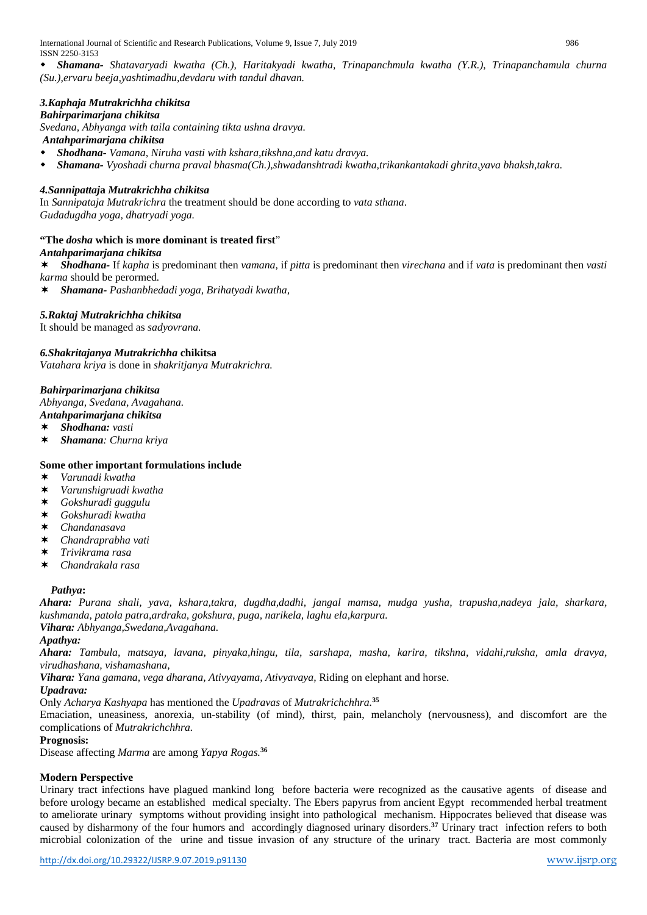International Journal of Scientific and Research Publications, Volume 9, Issue 7, July 2019 986 ISSN 2250-3153

 *Shamana- Shatavaryadi kwatha (Ch.), Haritakyadi kwatha, Trinapanchmula kwatha (Y.R.), Trinapanchamula churna (Su.),ervaru beeja,yashtimadhu,devdaru with tandul dhavan.*

## *3.Kaphaja Mutrakrichha chikitsa*

## *Bahirparimarjana chikitsa*

*Svedana, Abhyanga with taila containing tikta ushna dravya. Antahparimarjana chikitsa*

- *Shodhana- Vamana, Niruha vasti with kshara,tikshna,and katu dravya.*
- *Shamana- Vyoshadi churna praval bhasma(Ch.),shwadanshtradi kwatha,trikankantakadi ghrita,yava bhaksh,takra.*

#### *4.Sannipattaj***a** *Mutrakrichha chikitsa*

In *Sannipataja Mutrakrichra* the treatment should be done according to *vata sthana*. *Gudadugdha yoga, dhatryadi yoga.*

#### **"The** *dosha* **which is more dominant is treated first**"

#### *Antahparimarjana chikitsa*

 *Shodhana-* If *kapha* is predominant then *vamana,* if *pitta* is predominant then *virechana* and if *vata* is predominant then *vasti karma* should be perormed*.*

*Shamana- Pashanbhedadi yoga, Brihatyadi kwatha,*

#### *5.Raktaj Mutrakrichha chikitsa*

It should be managed as *sadyovrana.*

#### *6.Shakritajanya Mutrakrichha* **chikitsa**

*Vatahara kriya* is done in *shakritjanya Mutrakrichra.*

#### *Bahirparimarjana chikitsa*

*Abhyanga, Svedana, Avagahana.*

- *Antahparimarjana chikitsa*
- *Shodhana: vasti*
- *Shamana: Churna kriya*

#### **Some other important formulations include**

- *Varunadi kwatha*
- *Varunshigruadi kwatha*
- *Gokshuradi guggulu*
- *Gokshuradi kwatha*
- *Chandanasava*
- *Chandraprabha vati*
- *Trivikrama rasa*
- *Chandrakala rasa*

#### *Pathya***:**

*Ahara: Purana shali, yava, kshara,takra, dugdha,dadhi, jangal mamsa, mudga yusha, trapusha,nadeya jala, sharkara, kushmanda, patola patra,ardraka, gokshura, puga, narikela, laghu ela,karpura.*

*Vihara: Abhyanga,Swedana,Avagahana.*

#### *Apathya:*

*Ahara: Tambula, matsaya, lavana, pinyaka,hingu, tila, sarshapa, masha, karira, tikshna, vidahi,ruksha, amla dravya, virudhashana, vishamashana,*

*Vihara: Yana gamana, vega dharana, Ativyayama, Ativyavaya,* Riding on elephant and horse.

#### *Upadrava:*

#### Only *Acharya Kashyapa* has mentioned the *Upadravas* of *Mutrakrichchhra.***<sup>35</sup>**

Emaciation, uneasiness, anorexia, un-stability (of mind), thirst, pain, melancholy (nervousness), and discomfort are the complications of *Mutrakrichchhra.*

#### **Prognosis:**

Disease affecting *Marma* are among *Yapya Rogas.***<sup>36</sup>**

#### **Modern Perspective**

Urinary tract infections have plagued mankind long before bacteria were recognized as the causative agents of disease and before urology became an established medical specialty. The Ebers papyrus from ancient Egypt recommended herbal treatment to ameliorate urinary symptoms without providing insight into pathological mechanism. Hippocrates believed that disease was caused by disharmony of the four humors and accordingly diagnosed urinary disorders.**<sup>37</sup>** Urinary tract infection refers to both microbial colonization of the urine and tissue invasion of any structure of the urinary tract. Bacteria are most commonly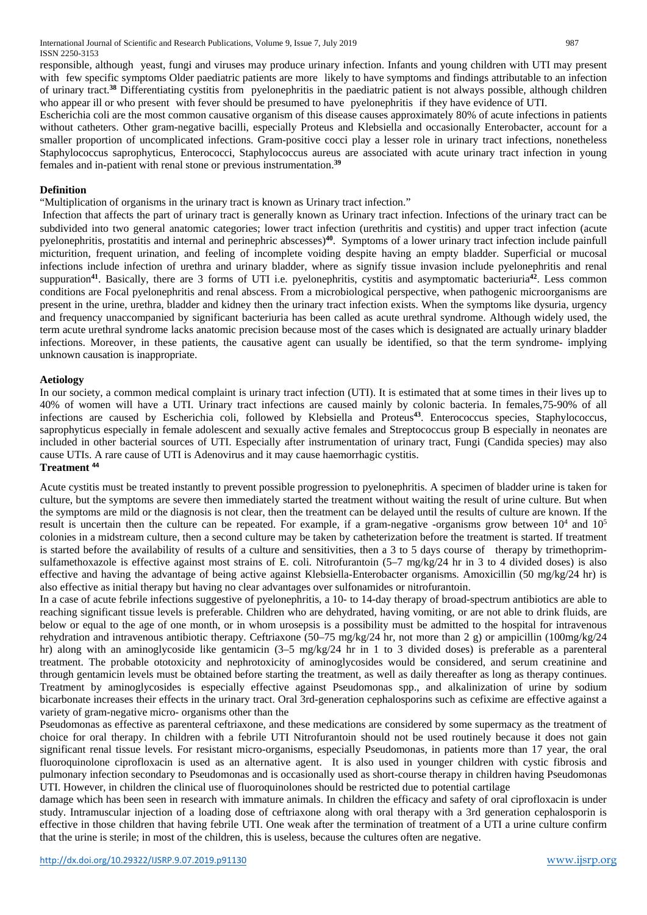responsible, although yeast, fungi and viruses may produce urinary infection. Infants and young children with UTI may present with few specific symptoms Older paediatric patients are more likely to have symptoms and findings attributable to an infection of urinary tract.**<sup>38</sup>** Differentiating cystitis from pyelonephritis in the paediatric patient is not always possible, although children who appear ill or who present with fever should be presumed to have pyelonephritis if they have evidence of UTI.

Escherichia coli are the most common causative organism of this disease causes approximately 80% of acute infections in patients without catheters. Other gram-negative bacilli, especially Proteus and Klebsiella and occasionally Enterobacter, account for a smaller proportion of uncomplicated infections. Gram-positive cocci play a lesser role in urinary tract infections, nonetheless Staphylococcus saprophyticus, Enterococci, Staphylococcus aureus are associated with acute urinary tract infection in young females and in-patient with renal stone or previous instrumentation.**<sup>39</sup>**

#### **Definition**

"Multiplication of organisms in the urinary tract is known as Urinary tract infection."

Infection that affects the part of urinary tract is generally known as Urinary tract infection. Infections of the urinary tract can be subdivided into two general anatomic categories; lower tract infection (urethritis and cystitis) and upper tract infection (acute pyelonephritis, prostatitis and internal and perinephric abscesses)**<sup>40</sup>**. Symptoms of a lower urinary tract infection include painfull micturition, frequent urination, and feeling of incomplete voiding despite having an empty bladder. Superficial or mucosal infections include infection of urethra and urinary bladder, where as signify tissue invasion include pyelonephritis and renal suppuration**<sup>41</sup>**. Basically, there are 3 forms of UTI i.e. pyelonephritis, cystitis and asymptomatic bacteriuria**<sup>42</sup>**. Less common conditions are Focal pyelonephritis and renal abscess. From a microbiological perspective, when pathogenic microorganisms are present in the urine, urethra, bladder and kidney then the urinary tract infection exists. When the symptoms like dysuria, urgency and frequency unaccompanied by significant bacteriuria has been called as acute urethral syndrome. Although widely used, the term acute urethral syndrome lacks anatomic precision because most of the cases which is designated are actually urinary bladder infections. Moreover, in these patients, the causative agent can usually be identified, so that the term syndrome- implying unknown causation is inappropriate.

#### **Aetiology**

In our society, a common medical complaint is urinary tract infection (UTI). It is estimated that at some times in their lives up to 40% of women will have a UTI. Urinary tract infections are caused mainly by colonic bacteria. In females,75-90% of all infections are caused by Escherichia coli, followed by Klebsiella and Proteus**<sup>43</sup>** . Enterococcus species, Staphylococcus, saprophyticus especially in female adolescent and sexually active females and Streptococcus group B especially in neonates are included in other bacterial sources of UTI. Especially after instrumentation of urinary tract, Fungi (Candida species) may also cause UTIs. A rare cause of UTI is Adenovirus and it may cause haemorrhagic cystitis. **Treatment <sup>44</sup>**

Acute cystitis must be treated instantly to prevent possible progression to pyelonephritis. A specimen of bladder urine is taken for culture, but the symptoms are severe then immediately started the treatment without waiting the result of urine culture. But when the symptoms are mild or the diagnosis is not clear, then the treatment can be delayed until the results of culture are known. If the result is uncertain then the culture can be repeated. For example, if a gram-negative -organisms grow between  $10^4$  and  $10^5$ colonies in a midstream culture, then a second culture may be taken by catheterization before the treatment is started. If treatment is started before the availability of results of a culture and sensitivities, then a 3 to 5 days course of therapy by trimethoprimsulfamethoxazole is effective against most strains of E. coli. Nitrofurantoin (5–7 mg/kg/24 hr in 3 to 4 divided doses) is also effective and having the advantage of being active against Klebsiella-Enterobacter organisms. Amoxicillin (50 mg/kg/24 hr) is also effective as initial therapy but having no clear advantages over sulfonamides or nitrofurantoin.

In a case of acute febrile infections suggestive of pyelonephritis, a 10- to 14-day therapy of broad-spectrum antibiotics are able to reaching significant tissue levels is preferable. Children who are dehydrated, having vomiting, or are not able to drink fluids, are below or equal to the age of one month, or in whom urosepsis is a possibility must be admitted to the hospital for intravenous rehydration and intravenous antibiotic therapy. Ceftriaxone (50–75 mg/kg/24 hr, not more than 2 g) or ampicillin (100mg/kg/24 hr) along with an aminoglycoside like gentamicin  $(3-5 \text{ mg/kg}/24 \text{ hr} \text{ in } 1 \text{ to } 3 \text{ divided doses})$  is preferable as a parenteral treatment. The probable ototoxicity and nephrotoxicity of aminoglycosides would be considered, and serum creatinine and through gentamicin levels must be obtained before starting the treatment, as well as daily thereafter as long as therapy continues. Treatment by aminoglycosides is especially effective against Pseudomonas spp., and alkalinization of urine by sodium bicarbonate increases their effects in the urinary tract. Oral 3rd-generation cephalosporins such as cefixime are effective against a variety of gram-negative micro- organisms other than the

Pseudomonas as effective as parenteral ceftriaxone, and these medications are considered by some supermacy as the treatment of choice for oral therapy. In children with a febrile UTI Nitrofurantoin should not be used routinely because it does not gain significant renal tissue levels. For resistant micro-organisms, especially Pseudomonas, in patients more than 17 year, the oral fluoroquinolone ciprofloxacin is used as an alternative agent. It is also used in younger children with cystic fibrosis and pulmonary infection secondary to Pseudomonas and is occasionally used as short-course therapy in children having Pseudomonas UTI. However, in children the clinical use of fluoroquinolones should be restricted due to potential cartilage

damage which has been seen in research with immature animals. In children the efficacy and safety of oral ciprofloxacin is under study. Intramuscular injection of a loading dose of ceftriaxone along with oral therapy with a 3rd generation cephalosporin is effective in those children that having febrile UTI. One weak after the termination of treatment of a UTI a urine culture confirm that the urine is sterile; in most of the children, this is useless, because the cultures often are negative.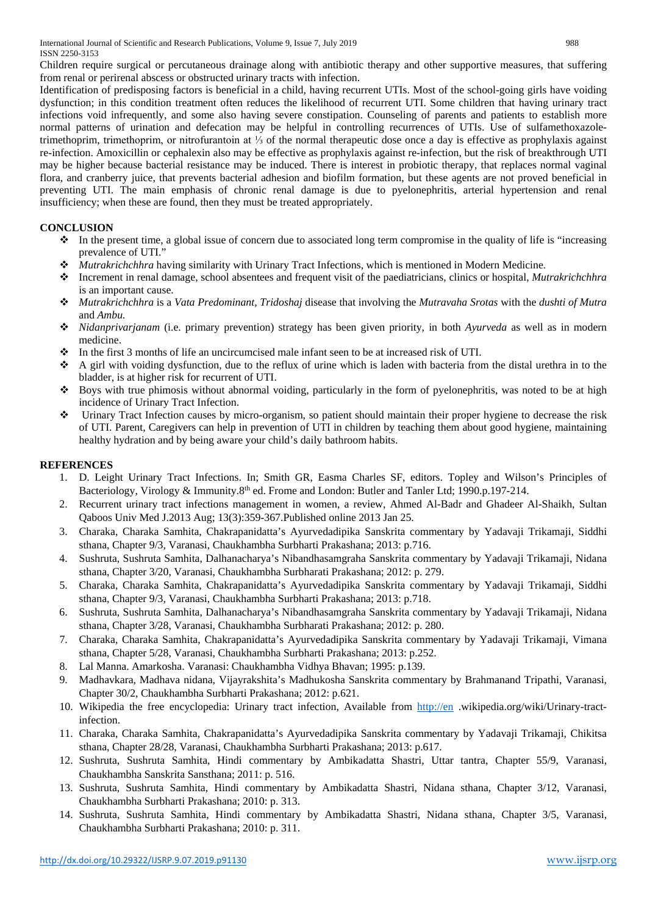Children require surgical or percutaneous drainage along with antibiotic therapy and other supportive measures, that suffering from renal or perirenal abscess or obstructed urinary tracts with infection.

Identification of predisposing factors is beneficial in a child, having recurrent UTIs. Most of the school-going girls have voiding dysfunction; in this condition treatment often reduces the likelihood of recurrent UTI. Some children that having urinary tract infections void infrequently, and some also having severe constipation. Counseling of parents and patients to establish more normal patterns of urination and defecation may be helpful in controlling recurrences of UTIs. Use of sulfamethoxazoletrimethoprim, trimethoprim, or nitrofurantoin at ⅓ of the normal therapeutic dose once a day is effective as prophylaxis against re-infection. Amoxicillin or cephalexin also may be effective as prophylaxis against re-infection, but the risk of breakthrough UTI may be higher because bacterial resistance may be induced. There is interest in probiotic therapy, that replaces normal vaginal flora, and cranberry juice, that prevents bacterial adhesion and biofilm formation, but these agents are not proved beneficial in preventing UTI. The main emphasis of chronic renal damage is due to pyelonephritis, arterial hypertension and renal insufficiency; when these are found, then they must be treated appropriately.

## **CONCLUSION**

- $\bullet$  In the present time, a global issue of concern due to associated long term compromise in the quality of life is "increasing" prevalence of UTI."
- *Mutrakrichchhra* having similarity with Urinary Tract Infections, which is mentioned in Modern Medicine*.*
- Increment in renal damage, school absentees and frequent visit of the paediatricians, clinics or hospital, *Mutrakrichchhra* is an important cause.
- *Mutrakrichchhra* is a *Vata Predominant, Tridoshaj* disease that involving the *Mutravaha Srotas* with the *dushti of Mutra*  and *Ambu.*
- *Nidanprivarjanam* (i.e. primary prevention) strategy has been given priority, in both *Ayurveda* as well as in modern medicine.
- In the first 3 months of life an uncircumcised male infant seen to be at increased risk of UTI.
- $\triangle$  A girl with voiding dysfunction, due to the reflux of urine which is laden with bacteria from the distal urethra in to the bladder, is at higher risk for recurrent of UTI.
- Boys with true phimosis without abnormal voiding, particularly in the form of pyelonephritis, was noted to be at high incidence of Urinary Tract Infection.
- Urinary Tract Infection causes by micro-organism, so patient should maintain their proper hygiene to decrease the risk of UTI. Parent, Caregivers can help in prevention of UTI in children by teaching them about good hygiene, maintaining healthy hydration and by being aware your child's daily bathroom habits.

## **REFERENCES**

- 1. D. Leight Urinary Tract Infections. In; Smith GR, Easma Charles SF, editors. Topley and Wilson's Principles of Bacteriology, Virology & Immunity.8th ed. Frome and London: Butler and Tanler Ltd; 1990.p.197-214.
- 2. Recurrent urinary tract infections management in women, a review, Ahmed Al-Badr and Ghadeer Al-Shaikh, Sultan Qaboos Univ Med J.2013 Aug; 13(3):359-367.Published online 2013 Jan 25.
- 3. Charaka, Charaka Samhita, Chakrapanidatta's Ayurvedadipika Sanskrita commentary by Yadavaji Trikamaji, Siddhi sthana, Chapter 9/3, Varanasi, Chaukhambha Surbharti Prakashana; 2013: p.716.
- 4. Sushruta, Sushruta Samhita, Dalhanacharya's Nibandhasamgraha Sanskrita commentary by Yadavaji Trikamaji, Nidana sthana, Chapter 3/20, Varanasi, Chaukhambha Surbharati Prakashana; 2012: p. 279.
- 5. Charaka, Charaka Samhita, Chakrapanidatta's Ayurvedadipika Sanskrita commentary by Yadavaji Trikamaji, Siddhi sthana, Chapter 9/3, Varanasi, Chaukhambha Surbharti Prakashana; 2013: p.718.
- 6. Sushruta, Sushruta Samhita, Dalhanacharya's Nibandhasamgraha Sanskrita commentary by Yadavaji Trikamaji, Nidana sthana, Chapter 3/28, Varanasi, Chaukhambha Surbharati Prakashana; 2012: p. 280.
- 7. Charaka, Charaka Samhita, Chakrapanidatta's Ayurvedadipika Sanskrita commentary by Yadavaji Trikamaji, Vimana sthana, Chapter 5/28, Varanasi, Chaukhambha Surbharti Prakashana; 2013: p.252.
- 8. Lal Manna. Amarkosha. Varanasi: Chaukhambha Vidhya Bhavan; 1995: p.139.
- 9. Madhavkara, Madhava nidana, Vijayrakshita's Madhukosha Sanskrita commentary by Brahmanand Tripathi, Varanasi, Chapter 30/2, Chaukhambha Surbharti Prakashana; 2012: p.621.
- 10. Wikipedia the free encyclopedia: Urinary tract infection, Available from [http://en](http://en/) .wikipedia.org/wiki/Urinary-tractinfection.
- 11. Charaka, Charaka Samhita, Chakrapanidatta's Ayurvedadipika Sanskrita commentary by Yadavaji Trikamaji, Chikitsa sthana, Chapter 28/28, Varanasi, Chaukhambha Surbharti Prakashana; 2013: p.617.
- 12. Sushruta, Sushruta Samhita, Hindi commentary by Ambikadatta Shastri, Uttar tantra, Chapter 55/9, Varanasi, Chaukhambha Sanskrita Sansthana; 2011: p. 516.
- 13. Sushruta, Sushruta Samhita, Hindi commentary by Ambikadatta Shastri, Nidana sthana, Chapter 3/12, Varanasi, Chaukhambha Surbharti Prakashana; 2010: p. 313.
- 14. Sushruta, Sushruta Samhita, Hindi commentary by Ambikadatta Shastri, Nidana sthana, Chapter 3/5, Varanasi, Chaukhambha Surbharti Prakashana; 2010: p. 311.